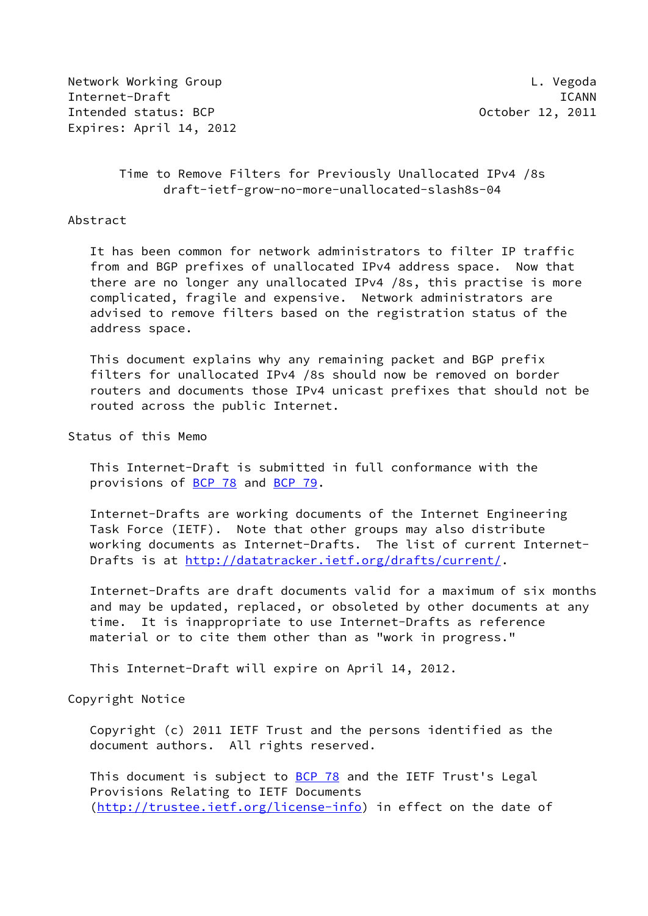Network Working Group **Letter Contains the Containing Contains Contains Contains Contains Contains Contains Conta** Internet-Draft ICANN Intended status: BCP and the control of the County of County of the County of the County of the County of the October 12, 2011 Expires: April 14, 2012

### Time to Remove Filters for Previously Unallocated IPv4 /8s draft-ietf-grow-no-more-unallocated-slash8s-04

#### Abstract

 It has been common for network administrators to filter IP traffic from and BGP prefixes of unallocated IPv4 address space. Now that there are no longer any unallocated IPv4 /8s, this practise is more complicated, fragile and expensive. Network administrators are advised to remove filters based on the registration status of the address space.

 This document explains why any remaining packet and BGP prefix filters for unallocated IPv4 /8s should now be removed on border routers and documents those IPv4 unicast prefixes that should not be routed across the public Internet.

Status of this Memo

 This Internet-Draft is submitted in full conformance with the provisions of [BCP 78](https://datatracker.ietf.org/doc/pdf/bcp78) and [BCP 79](https://datatracker.ietf.org/doc/pdf/bcp79).

 Internet-Drafts are working documents of the Internet Engineering Task Force (IETF). Note that other groups may also distribute working documents as Internet-Drafts. The list of current Internet- Drafts is at<http://datatracker.ietf.org/drafts/current/>.

 Internet-Drafts are draft documents valid for a maximum of six months and may be updated, replaced, or obsoleted by other documents at any time. It is inappropriate to use Internet-Drafts as reference material or to cite them other than as "work in progress."

This Internet-Draft will expire on April 14, 2012.

#### Copyright Notice

 Copyright (c) 2011 IETF Trust and the persons identified as the document authors. All rights reserved.

This document is subject to **[BCP 78](https://datatracker.ietf.org/doc/pdf/bcp78)** and the IETF Trust's Legal Provisions Relating to IETF Documents [\(http://trustee.ietf.org/license-info](http://trustee.ietf.org/license-info)) in effect on the date of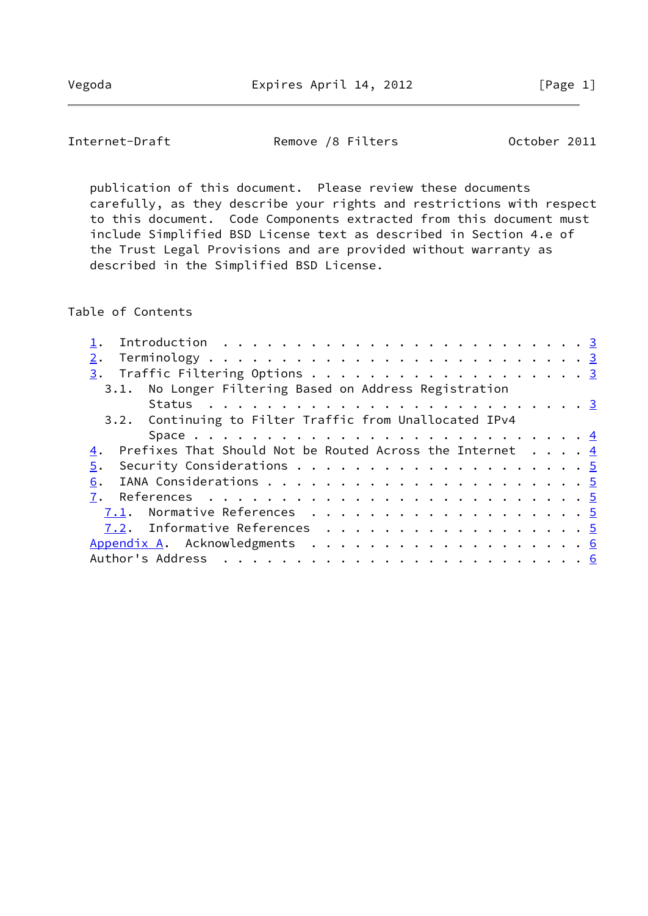Internet-Draft Remove /8 Filters 0ctober 2011

 publication of this document. Please review these documents carefully, as they describe your rights and restrictions with respect to this document. Code Components extracted from this document must include Simplified BSD License text as described in Section 4.e of the Trust Legal Provisions and are provided without warranty as described in the Simplified BSD License.

Table of Contents

| 2.                                                                        |  |
|---------------------------------------------------------------------------|--|
|                                                                           |  |
| 3.1. No Longer Filtering Based on Address Registration                    |  |
|                                                                           |  |
| 3.2. Continuing to Filter Traffic from Unallocated IPv4                   |  |
|                                                                           |  |
| Prefixes That Should Not be Routed Across the Internet $\ldots$ , 4<br>4. |  |
| 5.                                                                        |  |
| 6.                                                                        |  |
|                                                                           |  |
| 7.1. Normative References 5                                               |  |
| 7.2. Informative References 5                                             |  |
|                                                                           |  |
|                                                                           |  |
|                                                                           |  |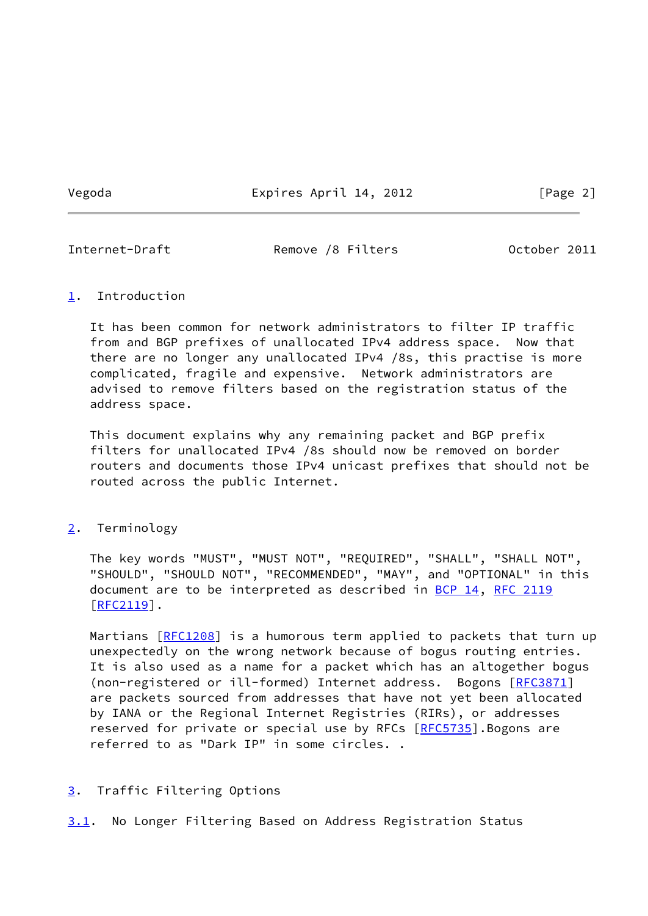Vegoda Expires April 14, 2012 [Page 2]

<span id="page-2-1"></span>

Internet-Draft **Remove /8 Filters** October 2011

### <span id="page-2-0"></span>[1](#page-2-0). Introduction

 It has been common for network administrators to filter IP traffic from and BGP prefixes of unallocated IPv4 address space. Now that there are no longer any unallocated IPv4 /8s, this practise is more complicated, fragile and expensive. Network administrators are advised to remove filters based on the registration status of the address space.

 This document explains why any remaining packet and BGP prefix filters for unallocated IPv4 /8s should now be removed on border routers and documents those IPv4 unicast prefixes that should not be routed across the public Internet.

# <span id="page-2-2"></span>[2](#page-2-2). Terminology

 The key words "MUST", "MUST NOT", "REQUIRED", "SHALL", "SHALL NOT", "SHOULD", "SHOULD NOT", "RECOMMENDED", "MAY", and "OPTIONAL" in this document are to be interpreted as described in [BCP 14](https://datatracker.ietf.org/doc/pdf/bcp14), [RFC 2119](https://datatracker.ietf.org/doc/pdf/rfc2119)  $[REC2119]$ .

Martians [\[RFC1208](https://datatracker.ietf.org/doc/pdf/rfc1208)] is a humorous term applied to packets that turn up unexpectedly on the wrong network because of bogus routing entries. It is also used as a name for a packet which has an altogether bogus (non-registered or ill-formed) Internet address. Bogons [\[RFC3871](https://datatracker.ietf.org/doc/pdf/rfc3871)] are packets sourced from addresses that have not yet been allocated by IANA or the Regional Internet Registries (RIRs), or addresses reserved for private or special use by RFCs [\[RFC5735](https://datatracker.ietf.org/doc/pdf/rfc5735)]. Bogons are referred to as "Dark IP" in some circles. .

# <span id="page-2-3"></span>[3](#page-2-3). Traffic Filtering Options

<span id="page-2-4"></span>[3.1](#page-2-4). No Longer Filtering Based on Address Registration Status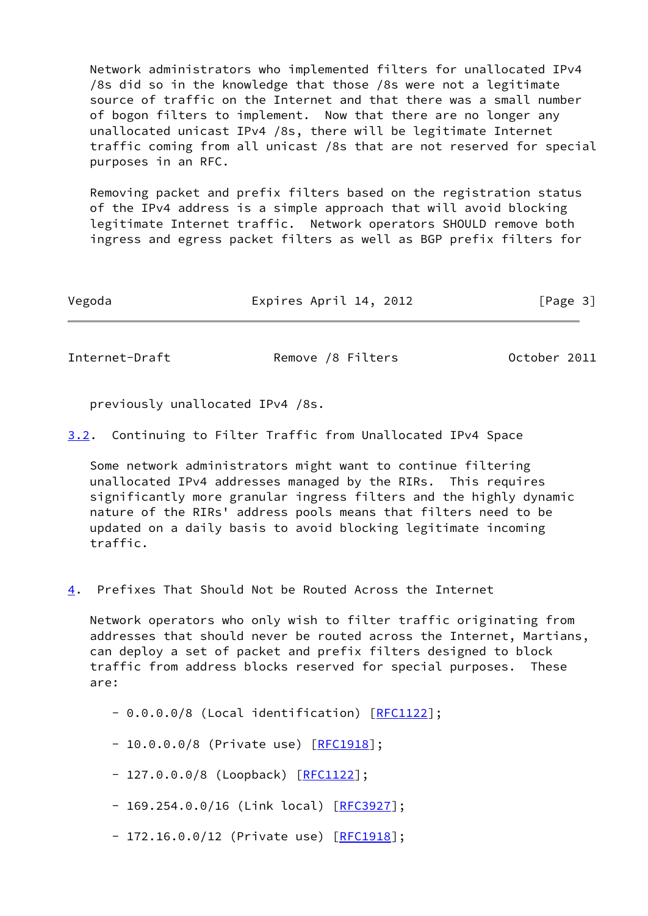Network administrators who implemented filters for unallocated IPv4 /8s did so in the knowledge that those /8s were not a legitimate source of traffic on the Internet and that there was a small number of bogon filters to implement. Now that there are no longer any unallocated unicast IPv4 /8s, there will be legitimate Internet traffic coming from all unicast /8s that are not reserved for special purposes in an RFC.

 Removing packet and prefix filters based on the registration status of the IPv4 address is a simple approach that will avoid blocking legitimate Internet traffic. Network operators SHOULD remove both ingress and egress packet filters as well as BGP prefix filters for

Vegoda Expires April 14, 2012 [Page 3]

<span id="page-3-0"></span>Internet-Draft Remove /8 Filters 0ctober 2011

previously unallocated IPv4 /8s.

<span id="page-3-2"></span>[3.2](#page-3-2). Continuing to Filter Traffic from Unallocated IPv4 Space

 Some network administrators might want to continue filtering unallocated IPv4 addresses managed by the RIRs. This requires significantly more granular ingress filters and the highly dynamic nature of the RIRs' address pools means that filters need to be updated on a daily basis to avoid blocking legitimate incoming traffic.

<span id="page-3-1"></span>[4](#page-3-1). Prefixes That Should Not be Routed Across the Internet

 Network operators who only wish to filter traffic originating from addresses that should never be routed across the Internet, Martians, can deploy a set of packet and prefix filters designed to block traffic from address blocks reserved for special purposes. These are:

- 0.0.0.0/8 (Local identification) [[RFC1122](https://datatracker.ietf.org/doc/pdf/rfc1122)];

- 10.0.0.0/8 (Private use) [[RFC1918](https://datatracker.ietf.org/doc/pdf/rfc1918)];

- 127.0.0.0/8 (Loopback) [\[RFC1122](https://datatracker.ietf.org/doc/pdf/rfc1122)];

- 169.254.0.0/16 (Link local) [\[RFC3927](https://datatracker.ietf.org/doc/pdf/rfc3927)];

- 172.16.0.0/12 (Private use) [\[RFC1918](https://datatracker.ietf.org/doc/pdf/rfc1918)];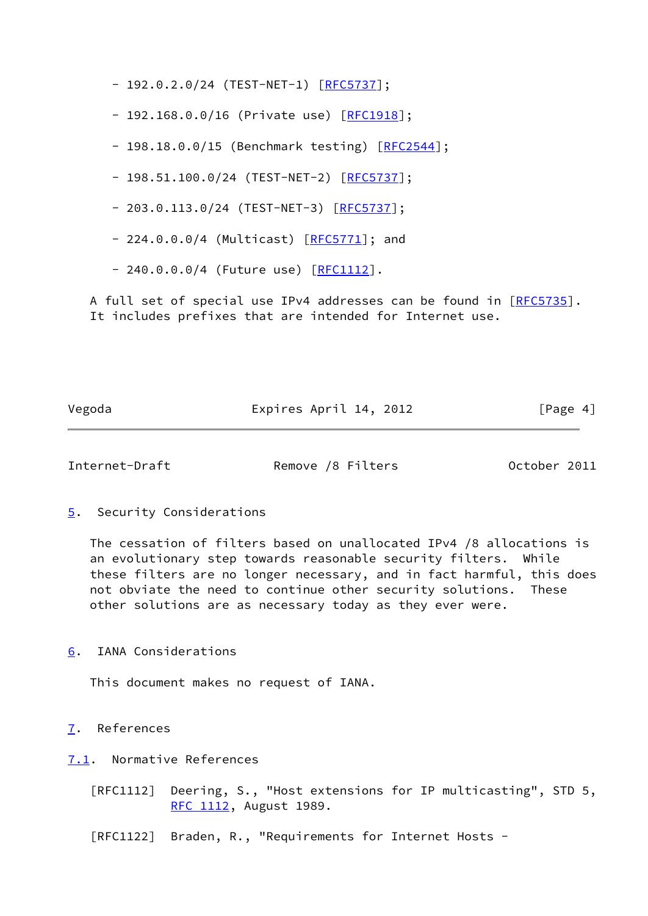- 192.0.2.0/24 (TEST-NET-1) [<mark>RFC5737</mark>];

- 192.168.0.0/16 (Private use) [[RFC1918](https://datatracker.ietf.org/doc/pdf/rfc1918)];

- 198.18.0.0/15 (Benchmark testing) [\[RFC2544](https://datatracker.ietf.org/doc/pdf/rfc2544)];

- 198.51.100.0/24 (TEST-NET-2) [[RFC5737](https://datatracker.ietf.org/doc/pdf/rfc5737)];

- 203.0.113.0/24 (TEST-NET-3) [\[RFC5737](https://datatracker.ietf.org/doc/pdf/rfc5737)];

- 224.0.0.0/4 (Multicast) [\[RFC5771](https://datatracker.ietf.org/doc/pdf/rfc5771)]; and

- 240.0.0.0/4 (Future use) [[RFC1112](https://datatracker.ietf.org/doc/pdf/rfc1112)].

A full set of special use IPv4 addresses can be found in [\[RFC5735](https://datatracker.ietf.org/doc/pdf/rfc5735)]. It includes prefixes that are intended for Internet use.

Vegoda **Expires April 14, 2012** [Page 4]

<span id="page-4-1"></span>Internet-Draft Remove /8 Filters October 2011

<span id="page-4-0"></span>[5](#page-4-0). Security Considerations

 The cessation of filters based on unallocated IPv4 /8 allocations is an evolutionary step towards reasonable security filters. While these filters are no longer necessary, and in fact harmful, this does not obviate the need to continue other security solutions. These other solutions are as necessary today as they ever were.

<span id="page-4-2"></span>[6](#page-4-2). IANA Considerations

This document makes no request of IANA.

<span id="page-4-3"></span>[7](#page-4-3). References

<span id="page-4-4"></span>[7.1](#page-4-4). Normative References

 [RFC1112] Deering, S., "Host extensions for IP multicasting", STD 5, [RFC 1112,](https://datatracker.ietf.org/doc/pdf/rfc1112) August 1989.

[RFC1122] Braden, R., "Requirements for Internet Hosts -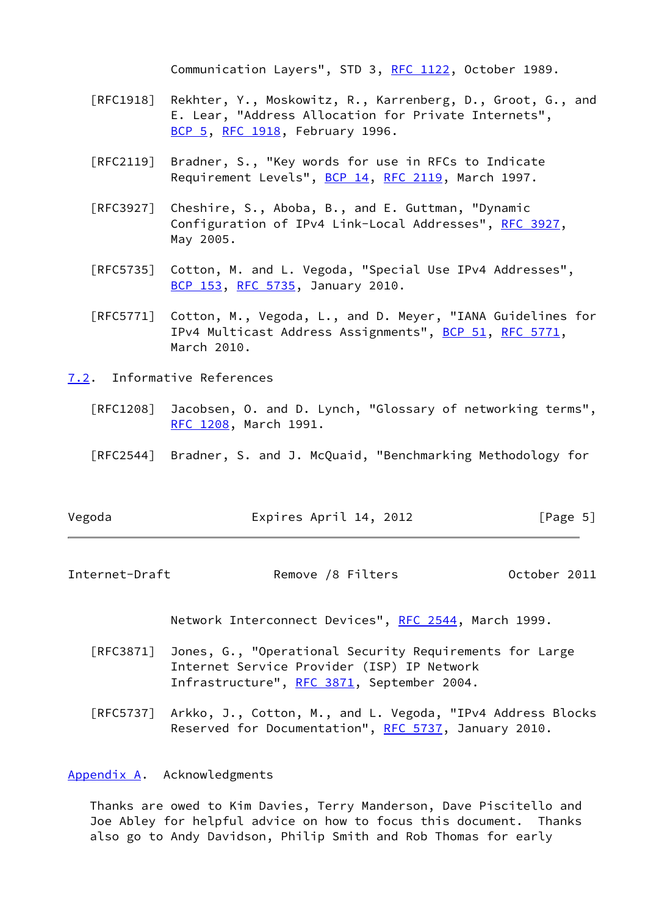Communication Layers", STD 3, [RFC 1122](https://datatracker.ietf.org/doc/pdf/rfc1122), October 1989.

- [RFC1918] Rekhter, Y., Moskowitz, R., Karrenberg, D., Groot, G., and E. Lear, "Address Allocation for Private Internets", [BCP 5,](https://datatracker.ietf.org/doc/pdf/bcp5) [RFC 1918](https://datatracker.ietf.org/doc/pdf/rfc1918), February 1996.
- [RFC2119] Bradner, S., "Key words for use in RFCs to Indicate Requirement Levels", [BCP 14](https://datatracker.ietf.org/doc/pdf/bcp14), [RFC 2119](https://datatracker.ietf.org/doc/pdf/rfc2119), March 1997.
- [RFC3927] Cheshire, S., Aboba, B., and E. Guttman, "Dynamic Configuration of IPv4 Link-Local Addresses", [RFC 3927](https://datatracker.ietf.org/doc/pdf/rfc3927), May 2005.
- [RFC5735] Cotton, M. and L. Vegoda, "Special Use IPv4 Addresses", [BCP 153](https://datatracker.ietf.org/doc/pdf/bcp153), [RFC 5735,](https://datatracker.ietf.org/doc/pdf/rfc5735) January 2010.
- [RFC5771] Cotton, M., Vegoda, L., and D. Meyer, "IANA Guidelines for IPv4 Multicast Address Assignments", [BCP 51](https://datatracker.ietf.org/doc/pdf/bcp51), [RFC 5771](https://datatracker.ietf.org/doc/pdf/rfc5771), March 2010.
- <span id="page-5-0"></span>[7.2](#page-5-0). Informative References
	- [RFC1208] Jacobsen, O. and D. Lynch, "Glossary of networking terms", [RFC 1208,](https://datatracker.ietf.org/doc/pdf/rfc1208) March 1991.
	- [RFC2544] Bradner, S. and J. McQuaid, "Benchmarking Methodology for

| Vegoda | Expires April 14, 2012 | [Page 5] |
|--------|------------------------|----------|
|--------|------------------------|----------|

<span id="page-5-2"></span>Internet-Draft Remove /8 Filters October 2011

Network Interconnect Devices", [RFC 2544](https://datatracker.ietf.org/doc/pdf/rfc2544), March 1999.

- [RFC3871] Jones, G., "Operational Security Requirements for Large Internet Service Provider (ISP) IP Network Infrastructure", [RFC 3871,](https://datatracker.ietf.org/doc/pdf/rfc3871) September 2004.
- [RFC5737] Arkko, J., Cotton, M., and L. Vegoda, "IPv4 Address Blocks Reserved for Documentation", [RFC 5737](https://datatracker.ietf.org/doc/pdf/rfc5737), January 2010.

# <span id="page-5-1"></span>[Appendix A.](#page-5-1) Acknowledgments

 Thanks are owed to Kim Davies, Terry Manderson, Dave Piscitello and Joe Abley for helpful advice on how to focus this document. Thanks also go to Andy Davidson, Philip Smith and Rob Thomas for early